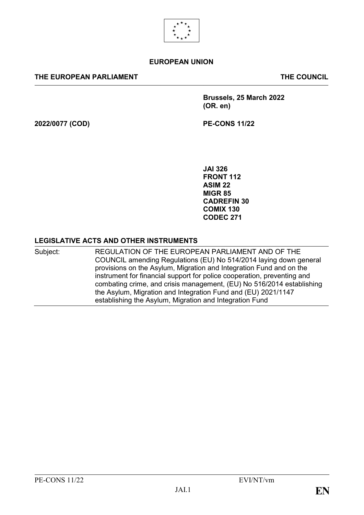

## **EUROPEAN UNION**

### **THE EUROPEAN PARLIAMENT THE COUNCIL**

**Brussels, 25 March 2022 (OR. en)**

**2022/0077 (COD) PE-CONS 11/22**

**JAI 326 FRONT 112 ASIM 22 MIGR 85 CADREFIN 30 COMIX 130 CODEC 271**

## **LEGISLATIVE ACTS AND OTHER INSTRUMENTS**

Subject: REGULATION OF THE EUROPEAN PARLIAMENT AND OF THE COUNCIL amending Regulations (EU) No 514/2014 laying down general provisions on the Asylum, Migration and Integration Fund and on the instrument for financial support for police cooperation, preventing and combating crime, and crisis management, (EU) No 516/2014 establishing the Asylum, Migration and Integration Fund and (EU) 2021/1147 establishing the Asylum, Migration and Integration Fund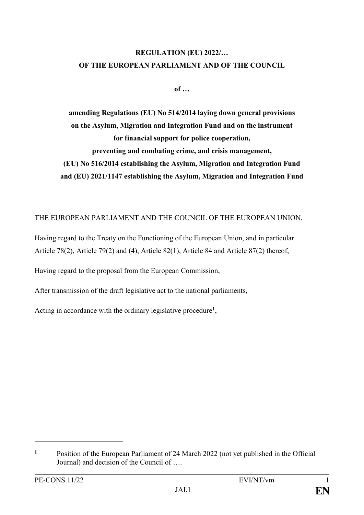# **REGULATION (EU) 2022/… OF THE EUROPEAN PARLIAMENT AND OF THE COUNCIL**

**of …**

**amending Regulations (EU) No 514/2014 laying down general provisions on the Asylum, Migration and Integration Fund and on the instrument for financial support for police cooperation, preventing and combating crime, and crisis management, (EU) No 516/2014 establishing the Asylum, Migration and Integration Fund and (EU) 2021/1147 establishing the Asylum, Migration and Integration Fund**

THE EUROPEAN PARLIAMENT AND THE COUNCIL OF THE EUROPEAN UNION,

Having regard to the Treaty on the Functioning of the European Union, and in particular Article 78(2), Article 79(2) and (4), Article 82(1), Article 84 and Article 87(2) thereof,

Having regard to the proposal from the European Commission,

After transmission of the draft legislative act to the national parliaments,

Acting in accordance with the ordinary legislative procedure**<sup>1</sup>** ,

**<sup>1</sup>** Position of the European Parliament of 24 March 2022 (not yet published in the Official Journal) and decision of the Council of ….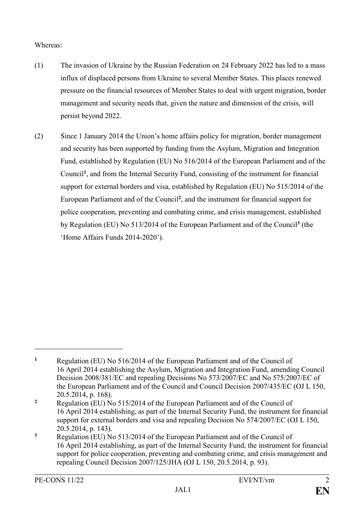Whereas:

- (1) The invasion of Ukraine by the Russian Federation on 24 February 2022 has led to a mass influx of displaced persons from Ukraine to several Member States. This places renewed pressure on the financial resources of Member States to deal with urgent migration, border management and security needs that, given the nature and dimension of the crisis, will persist beyond 2022.
- (2) Since 1 January 2014 the Union's home affairs policy for migration, border management and security has been supported by funding from the Asylum, Migration and Integration Fund, established by Regulation (EU) No 516/2014 of the European Parliament and of the Council**<sup>1</sup>** , and from the Internal Security Fund, consisting of the instrument for financial support for external borders and visa, established by Regulation (EU) No 515/2014 of the European Parliament and of the Council**<sup>2</sup>** , and the instrument for financial support for police cooperation, preventing and combating crime, and crisis management, established by Regulation (EU) No 513/2014 of the European Parliament and of the Council**<sup>3</sup>** (the 'Home Affairs Funds 2014-2020').

**<sup>1</sup>** Regulation (EU) No 516/2014 of the European Parliament and of the Council of 16 April 2014 establishing the Asylum, Migration and Integration Fund, amending Council Decision 2008/381/EC and repealing Decisions No 573/2007/EC and No 575/2007/EC of the European Parliament and of the Council and Council Decision 2007/435/EC (OJ L 150, 20.5.2014, p. 168).

**<sup>2</sup>** Regulation (EU) No 515/2014 of the European Parliament and of the Council of 16 April 2014 establishing, as part of the Internal Security Fund, the instrument for financial support for external borders and visa and repealing Decision No 574/2007/EC (OJ L 150, 20.5.2014, p. 143).

**<sup>3</sup>** Regulation (EU) No 513/2014 of the European Parliament and of the Council of 16 April 2014 establishing, as part of the Internal Security Fund, the instrument for financial support for police cooperation, preventing and combating crime, and crisis management and repealing Council Decision 2007/125/JHA (OJ L 150, 20.5.2014, p. 93).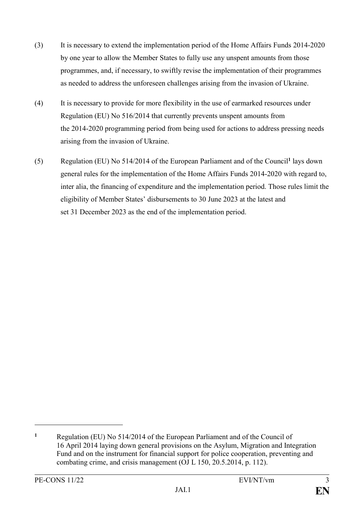- (3) It is necessary to extend the implementation period of the Home Affairs Funds 2014-2020 by one year to allow the Member States to fully use any unspent amounts from those programmes, and, if necessary, to swiftly revise the implementation of their programmes as needed to address the unforeseen challenges arising from the invasion of Ukraine.
- (4) It is necessary to provide for more flexibility in the use of earmarked resources under Regulation (EU) No 516/2014 that currently prevents unspent amounts from the 2014-2020 programming period from being used for actions to address pressing needs arising from the invasion of Ukraine.
- (5) Regulation (EU) No 514/2014 of the European Parliament and of the Council**<sup>1</sup>** lays down general rules for the implementation of the Home Affairs Funds 2014-2020 with regard to, inter alia, the financing of expenditure and the implementation period. Those rules limit the eligibility of Member States' disbursements to 30 June 2023 at the latest and set 31 December 2023 as the end of the implementation period.

<u>.</u>

**<sup>1</sup>** Regulation (EU) No 514/2014 of the European Parliament and of the Council of 16 April 2014 laying down general provisions on the Asylum, Migration and Integration Fund and on the instrument for financial support for police cooperation, preventing and combating crime, and crisis management (OJ L 150, 20.5.2014, p. 112).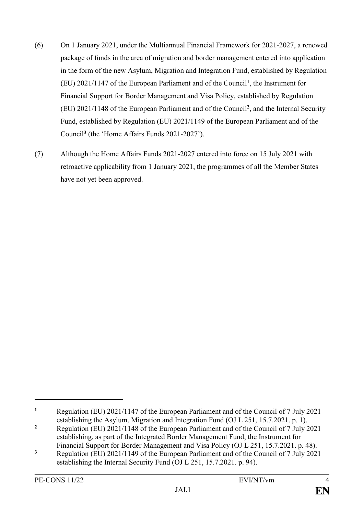- (6) On 1 January 2021, under the Multiannual Financial Framework for 2021-2027, a renewed package of funds in the area of migration and border management entered into application in the form of the new Asylum, Migration and Integration Fund, established by Regulation (EU) 2021/1147 of the European Parliament and of the Council**<sup>1</sup>** , the Instrument for Financial Support for Border Management and Visa Policy, established by Regulation (EU) 2021/1148 of the European Parliament and of the Council**<sup>2</sup>** , and the Internal Security Fund, established by Regulation (EU) 2021/1149 of the European Parliament and of the Council**<sup>3</sup>** (the 'Home Affairs Funds 2021-2027').
- (7) Although the Home Affairs Funds 2021-2027 entered into force on 15 July 2021 with retroactive applicability from 1 January 2021, the programmes of all the Member States have not yet been approved.

**<sup>1</sup>** Regulation (EU) 2021/1147 of the European Parliament and of the Council of 7 July 2021 establishing the Asylum, Migration and Integration Fund (OJ L 251, 15.7.2021. p. 1).

**<sup>2</sup>** Regulation (EU) 2021/1148 of the European Parliament and of the Council of 7 July 2021 establishing, as part of the Integrated Border Management Fund, the Instrument for Financial Support for Border Management and Visa Policy (OJ L 251, 15.7.2021. p. 48).

**<sup>3</sup>** Regulation (EU) 2021/1149 of the European Parliament and of the Council of 7 July 2021 establishing the Internal Security Fund (OJ L 251, 15.7.2021. p. 94).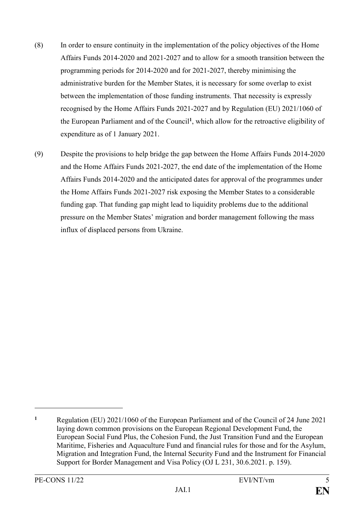- (8) In order to ensure continuity in the implementation of the policy objectives of the Home Affairs Funds 2014-2020 and 2021-2027 and to allow for a smooth transition between the programming periods for 2014-2020 and for 2021-2027, thereby minimising the administrative burden for the Member States, it is necessary for some overlap to exist between the implementation of those funding instruments. That necessity is expressly recognised by the Home Affairs Funds 2021-2027 and by Regulation (EU) 2021/1060 of the European Parliament and of the Council**<sup>1</sup>** , which allow for the retroactive eligibility of expenditure as of 1 January 2021.
- (9) Despite the provisions to help bridge the gap between the Home Affairs Funds 2014-2020 and the Home Affairs Funds 2021-2027, the end date of the implementation of the Home Affairs Funds 2014-2020 and the anticipated dates for approval of the programmes under the Home Affairs Funds 2021-2027 risk exposing the Member States to a considerable funding gap. That funding gap might lead to liquidity problems due to the additional pressure on the Member States' migration and border management following the mass influx of displaced persons from Ukraine.

**<sup>1</sup>** Regulation (EU) 2021/1060 of the European Parliament and of the Council of 24 June 2021 laying down common provisions on the European Regional Development Fund, the European Social Fund Plus, the Cohesion Fund, the Just Transition Fund and the European Maritime, Fisheries and Aquaculture Fund and financial rules for those and for the Asylum, Migration and Integration Fund, the Internal Security Fund and the Instrument for Financial Support for Border Management and Visa Policy (OJ L 231, 30.6.2021. p. 159).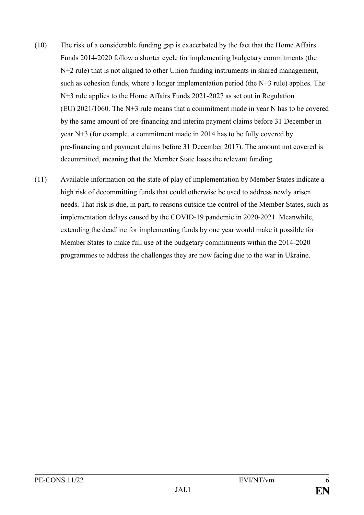- (10) The risk of a considerable funding gap is exacerbated by the fact that the Home Affairs Funds 2014-2020 follow a shorter cycle for implementing budgetary commitments (the N+2 rule) that is not aligned to other Union funding instruments in shared management, such as cohesion funds, where a longer implementation period (the N+3 rule) applies. The N+3 rule applies to the Home Affairs Funds 2021-2027 as set out in Regulation (EU) 2021/1060. The N+3 rule means that a commitment made in year N has to be covered by the same amount of pre-financing and interim payment claims before 31 December in year N+3 (for example, a commitment made in 2014 has to be fully covered by pre-financing and payment claims before 31 December 2017). The amount not covered is decommitted, meaning that the Member State loses the relevant funding.
- (11) Available information on the state of play of implementation by Member States indicate a high risk of decommitting funds that could otherwise be used to address newly arisen needs. That risk is due, in part, to reasons outside the control of the Member States, such as implementation delays caused by the COVID-19 pandemic in 2020-2021. Meanwhile, extending the deadline for implementing funds by one year would make it possible for Member States to make full use of the budgetary commitments within the 2014-2020 programmes to address the challenges they are now facing due to the war in Ukraine.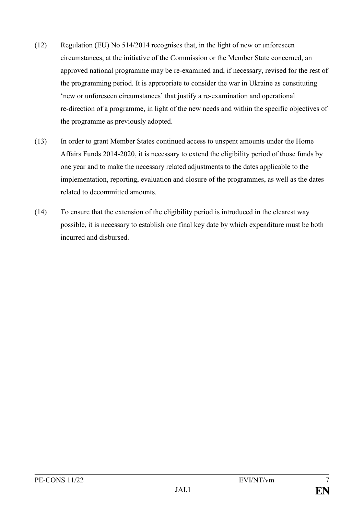- (12) Regulation (EU) No 514/2014 recognises that, in the light of new or unforeseen circumstances, at the initiative of the Commission or the Member State concerned, an approved national programme may be re-examined and, if necessary, revised for the rest of the programming period. It is appropriate to consider the war in Ukraine as constituting 'new or unforeseen circumstances' that justify a re-examination and operational re-direction of a programme, in light of the new needs and within the specific objectives of the programme as previously adopted.
- (13) In order to grant Member States continued access to unspent amounts under the Home Affairs Funds 2014-2020, it is necessary to extend the eligibility period of those funds by one year and to make the necessary related adjustments to the dates applicable to the implementation, reporting, evaluation and closure of the programmes, as well as the dates related to decommitted amounts.
- (14) To ensure that the extension of the eligibility period is introduced in the clearest way possible, it is necessary to establish one final key date by which expenditure must be both incurred and disbursed.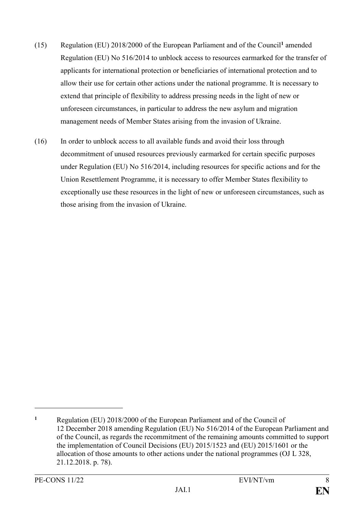- (15) Regulation (EU) 2018/2000 of the European Parliament and of the Council**<sup>1</sup>** amended Regulation (EU) No 516/2014 to unblock access to resources earmarked for the transfer of applicants for international protection or beneficiaries of international protection and to allow their use for certain other actions under the national programme. It is necessary to extend that principle of flexibility to address pressing needs in the light of new or unforeseen circumstances, in particular to address the new asylum and migration management needs of Member States arising from the invasion of Ukraine.
- (16) In order to unblock access to all available funds and avoid their loss through decommitment of unused resources previously earmarked for certain specific purposes under Regulation (EU) No 516/2014, including resources for specific actions and for the Union Resettlement Programme, it is necessary to offer Member States flexibility to exceptionally use these resources in the light of new or unforeseen circumstances, such as those arising from the invasion of Ukraine.

**<sup>1</sup>** Regulation (EU) 2018/2000 of the European Parliament and of the Council of 12 December 2018 amending Regulation (EU) No 516/2014 of the European Parliament and of the Council, as regards the recommitment of the remaining amounts committed to support the implementation of Council Decisions (EU) 2015/1523 and (EU) 2015/1601 or the allocation of those amounts to other actions under the national programmes (OJ L 328, 21.12.2018. p. 78).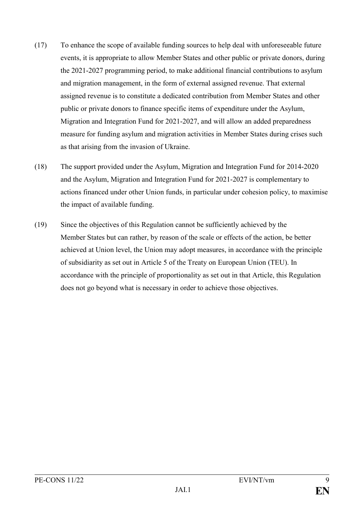- (17) To enhance the scope of available funding sources to help deal with unforeseeable future events, it is appropriate to allow Member States and other public or private donors, during the 2021-2027 programming period, to make additional financial contributions to asylum and migration management, in the form of external assigned revenue. That external assigned revenue is to constitute a dedicated contribution from Member States and other public or private donors to finance specific items of expenditure under the Asylum, Migration and Integration Fund for 2021-2027, and will allow an added preparedness measure for funding asylum and migration activities in Member States during crises such as that arising from the invasion of Ukraine.
- (18) The support provided under the Asylum, Migration and Integration Fund for 2014-2020 and the Asylum, Migration and Integration Fund for 2021-2027 is complementary to actions financed under other Union funds, in particular under cohesion policy, to maximise the impact of available funding.
- (19) Since the objectives of this Regulation cannot be sufficiently achieved by the Member States but can rather, by reason of the scale or effects of the action, be better achieved at Union level, the Union may adopt measures, in accordance with the principle of subsidiarity as set out in Article 5 of the Treaty on European Union (TEU). In accordance with the principle of proportionality as set out in that Article, this Regulation does not go beyond what is necessary in order to achieve those objectives.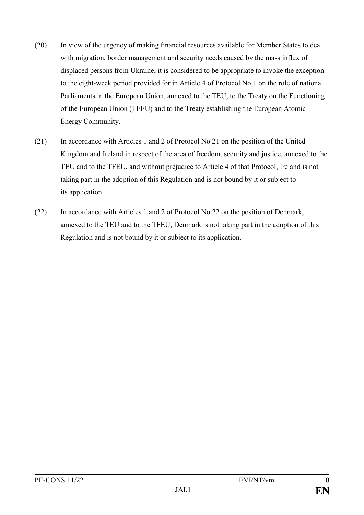- (20) In view of the urgency of making financial resources available for Member States to deal with migration, border management and security needs caused by the mass influx of displaced persons from Ukraine, it is considered to be appropriate to invoke the exception to the eight-week period provided for in Article 4 of Protocol No 1 on the role of national Parliaments in the European Union, annexed to the TEU, to the Treaty on the Functioning of the European Union (TFEU) and to the Treaty establishing the European Atomic Energy Community.
- (21) In accordance with Articles 1 and 2 of Protocol No 21 on the position of the United Kingdom and Ireland in respect of the area of freedom, security and justice, annexed to the TEU and to the TFEU, and without prejudice to Article 4 of that Protocol, Ireland is not taking part in the adoption of this Regulation and is not bound by it or subject to its application.
- (22) In accordance with Articles 1 and 2 of Protocol No 22 on the position of Denmark, annexed to the TEU and to the TFEU, Denmark is not taking part in the adoption of this Regulation and is not bound by it or subject to its application.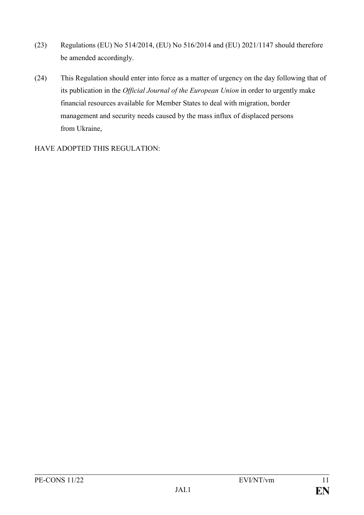- (23) Regulations (EU) No 514/2014, (EU) No 516/2014 and (EU) 2021/1147 should therefore be amended accordingly.
- (24) This Regulation should enter into force as a matter of urgency on the day following that of its publication in the *Official Journal of the European Union* in order to urgently make financial resources available for Member States to deal with migration, border management and security needs caused by the mass influx of displaced persons from Ukraine,

HAVE ADOPTED THIS REGULATION: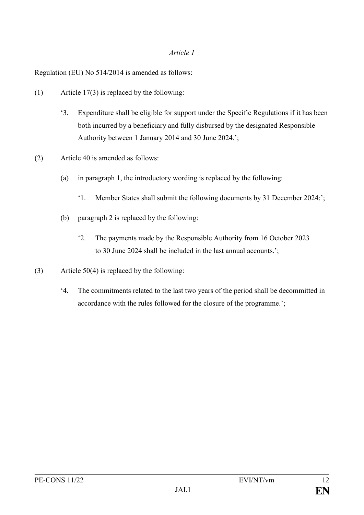Regulation (EU) No 514/2014 is amended as follows:

- (1) Article 17(3) is replaced by the following:
	- '3. Expenditure shall be eligible for support under the Specific Regulations if it has been both incurred by a beneficiary and fully disbursed by the designated Responsible Authority between 1 January 2014 and 30 June 2024.';
- (2) Article 40 is amended as follows:
	- (a) in paragraph 1, the introductory wording is replaced by the following:
		- '1. Member States shall submit the following documents by 31 December 2024:';
	- (b) paragraph 2 is replaced by the following:
		- '2. The payments made by the Responsible Authority from 16 October 2023 to 30 June 2024 shall be included in the last annual accounts.';
- (3) Article 50(4) is replaced by the following:
	- '4. The commitments related to the last two years of the period shall be decommitted in accordance with the rules followed for the closure of the programme.';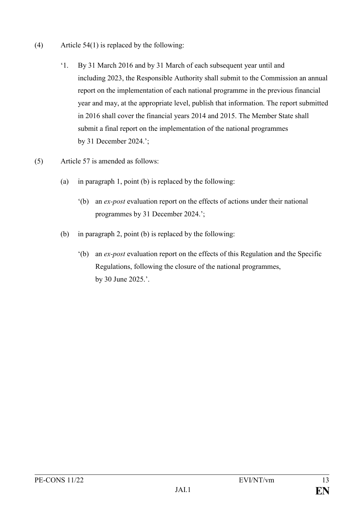- (4) Article 54(1) is replaced by the following:
	- '1. By 31 March 2016 and by 31 March of each subsequent year until and including 2023, the Responsible Authority shall submit to the Commission an annual report on the implementation of each national programme in the previous financial year and may, at the appropriate level, publish that information. The report submitted in 2016 shall cover the financial years 2014 and 2015. The Member State shall submit a final report on the implementation of the national programmes by 31 December 2024.';
- (5) Article 57 is amended as follows:
	- (a) in paragraph 1, point (b) is replaced by the following:
		- '(b) an *ex-post* evaluation report on the effects of actions under their national programmes by 31 December 2024.';
	- (b) in paragraph 2, point (b) is replaced by the following:
		- '(b) an *ex-post* evaluation report on the effects of this Regulation and the Specific Regulations, following the closure of the national programmes, by 30 June 2025.'.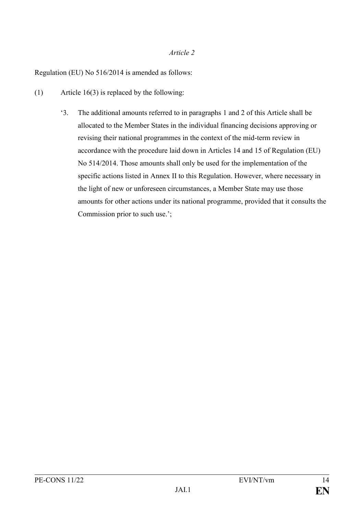Regulation (EU) No 516/2014 is amended as follows:

- (1) Article 16(3) is replaced by the following:
	- '3. The additional amounts referred to in paragraphs 1 and 2 of this Article shall be allocated to the Member States in the individual financing decisions approving or revising their national programmes in the context of the mid-term review in accordance with the procedure laid down in Articles 14 and 15 of Regulation (EU) No 514/2014. Those amounts shall only be used for the implementation of the specific actions listed in Annex II to this Regulation. However, where necessary in the light of new or unforeseen circumstances, a Member State may use those amounts for other actions under its national programme, provided that it consults the Commission prior to such use.';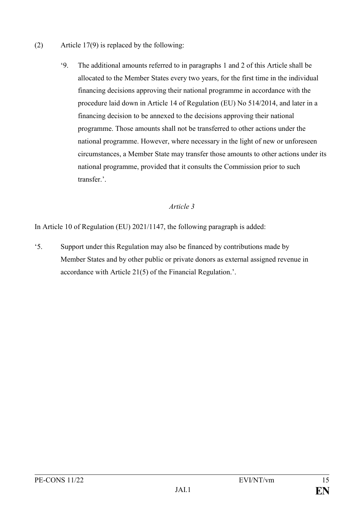- (2) Article 17(9) is replaced by the following:
	- '9. The additional amounts referred to in paragraphs 1 and 2 of this Article shall be allocated to the Member States every two years, for the first time in the individual financing decisions approving their national programme in accordance with the procedure laid down in Article 14 of Regulation (EU) No 514/2014, and later in a financing decision to be annexed to the decisions approving their national programme. Those amounts shall not be transferred to other actions under the national programme. However, where necessary in the light of new or unforeseen circumstances, a Member State may transfer those amounts to other actions under its national programme, provided that it consults the Commission prior to such transfer<sup>?</sup>

In Article 10 of Regulation (EU) 2021/1147, the following paragraph is added:

'5. Support under this Regulation may also be financed by contributions made by Member States and by other public or private donors as external assigned revenue in accordance with Article 21(5) of the Financial Regulation.'.